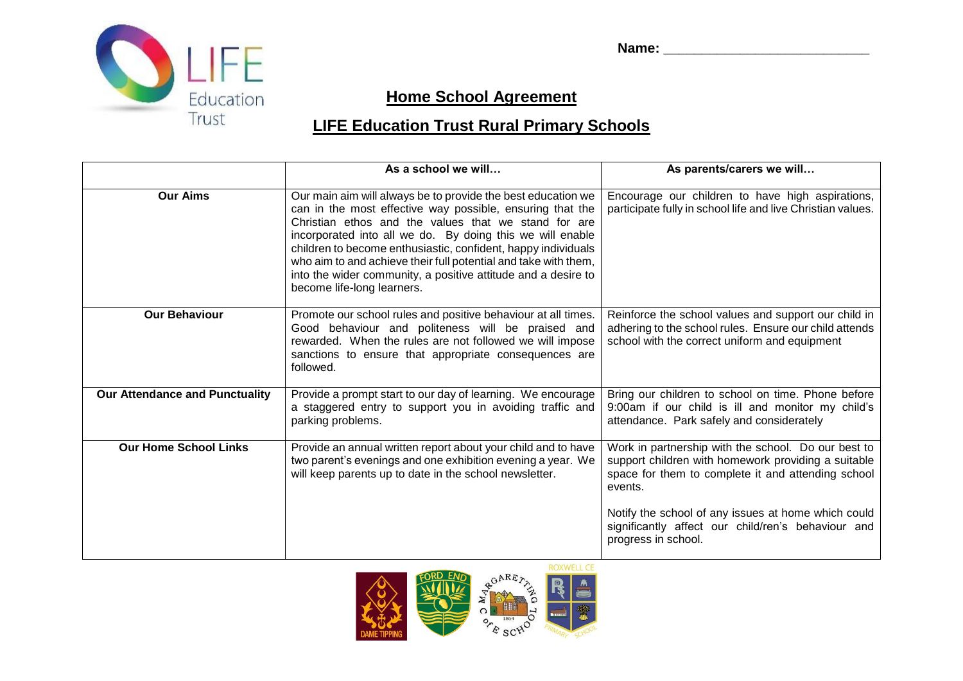



## **Home School Agreement**

## **LIFE Education Trust Rural Primary Schools**

|                                       | As a school we will                                                                                                                                                                                                                                                                                                                                                                                                                                                               | As parents/carers we will                                                                                                                                                   |
|---------------------------------------|-----------------------------------------------------------------------------------------------------------------------------------------------------------------------------------------------------------------------------------------------------------------------------------------------------------------------------------------------------------------------------------------------------------------------------------------------------------------------------------|-----------------------------------------------------------------------------------------------------------------------------------------------------------------------------|
| <b>Our Aims</b>                       | Our main aim will always be to provide the best education we<br>can in the most effective way possible, ensuring that the<br>Christian ethos and the values that we stand for are<br>incorporated into all we do. By doing this we will enable<br>children to become enthusiastic, confident, happy individuals<br>who aim to and achieve their full potential and take with them,<br>into the wider community, a positive attitude and a desire to<br>become life-long learners. | Encourage our children to have high aspirations,<br>participate fully in school life and live Christian values.                                                             |
| <b>Our Behaviour</b>                  | Promote our school rules and positive behaviour at all times.<br>Good behaviour and politeness will be praised and<br>rewarded. When the rules are not followed we will impose<br>sanctions to ensure that appropriate consequences are<br>followed.                                                                                                                                                                                                                              | Reinforce the school values and support our child in<br>adhering to the school rules. Ensure our child attends<br>school with the correct uniform and equipment             |
| <b>Our Attendance and Punctuality</b> | Provide a prompt start to our day of learning. We encourage<br>a staggered entry to support you in avoiding traffic and<br>parking problems.                                                                                                                                                                                                                                                                                                                                      | Bring our children to school on time. Phone before<br>9:00am if our child is ill and monitor my child's<br>attendance. Park safely and considerately                        |
| <b>Our Home School Links</b>          | Provide an annual written report about your child and to have<br>two parent's evenings and one exhibition evening a year. We<br>will keep parents up to date in the school newsletter.                                                                                                                                                                                                                                                                                            | Work in partnership with the school. Do our best to<br>support children with homework providing a suitable<br>space for them to complete it and attending school<br>events. |
|                                       |                                                                                                                                                                                                                                                                                                                                                                                                                                                                                   | Notify the school of any issues at home which could<br>significantly affect our child/ren's behaviour and<br>progress in school.                                            |